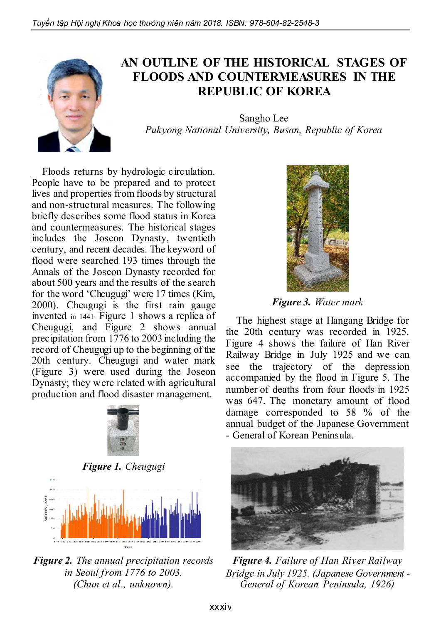

## AN OUTLINE OF THE HISTORICAL STAGES OF FLOODS AND COUNTERMEASURES IN THE REPUBLIC OF KOREA

Sangho Lee *Pukyong National University, Busan, Republic of Korea*

Floods returns by hydrologic circulation. People have to be prepared and to protect lives and properties from floods by structural and non-structural measures. The following briefly describes some flood status in Korea and countermeasures. The historical stages includes the Joseon Dynasty, twentieth century, and recent decades. The keyword of flood were searched 193 times through the Annals of the Joseon Dynasty recorded for about 500 years and the results of the search for the word 'Cheugugi' were 17 times (Kim, 2000). Cheugugi is the first rain gauge invented in 1441. Figure 1 shows a replica of Cheugugi, and Figure 2 shows annual precipitation from 1776 to 2003 including the record of Cheugugi up to the beginning of the 20th century. Cheugugi and water mark (Figure 3) were used during the Joseon Dynasty; they were related with agricultural production and flood disaster management.



*Figure 1. Cheugugi*



*Figure 2. The annual precipitation records in Seoul from 1776 to 2003. (Chun et al., unknown).*



*Figure 3. Water mark*

The highest stage at Hangang Bridge for the 20th century was recorded in 1925. Figure 4 shows the failure of Han River Railway Bridge in July 1925 and we can see the trajectory of the depression accompanied by the flood in Figure 5. The number of deaths from four floods in 1925 was 647. The monetary amount of flood damage corresponded to 58 % of the annual budget of the Japanese Government - General of Korean Peninsula.



*Figure 4. Failure of Han River Railway Bridge in July 1925. (Japanese Government - General of Korean Peninsula, 1926)*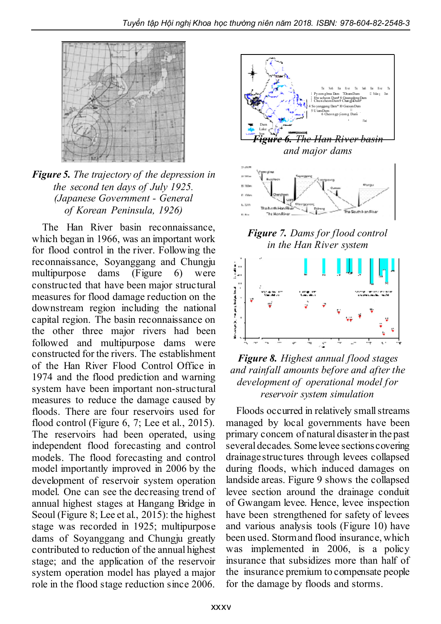

## *Figure 5. The trajectory of the depression in the second ten days of July 1925. (Japanese Government - General of Korean Peninsula, 1926)*

The Han River basin reconnaissance, which began in 1966, was an important work for flood control in the river. Following the reconnaissance, Soyanggang and Chungju multipurpose dams (Figure 6) were constructed that have been major structural measures for flood damage reduction on the downstream region including the national capital region. The basin reconnaissance on the other three major rivers had been followed and multipurpose dams were constructed for the rivers. The establishment of the Han River Flood Control Office in 1974 and the flood prediction and warning system have been important non-structural measures to reduce the damage caused by floods. There are four reservoirs used for flood control (Figure 6, 7; Lee et al., 2015). The reservoirs had been operated, using independent flood forecasting and control models. The flood forecasting and control model importantly improved in 2006 by the development of reservoir system operation model. One can see the decreasing trend of annual highest stages at Hangang Bridge in Seoul (Figure 8; Lee et al., 2015): the highest stage was recorded in 1925; multipurpose dams of Soyanggang and Chungju greatly contributed to reduction of the annual highest stage; and the application of the reservoir system operation model has played a major role in the flood stage reduction since 2006.



*in the Han River system*



## *Figure 8. Highest annual flood stages and rainfall amounts before and after the development of operational model for reservoir system simulation*

Floods occurred in relatively smallstreams managed by local governments have been primary concern of natural disasterin the past several decades. Some levee sectionscovering drainage structures through levees collapsed during floods, which induced damages on landside areas. Figure 9 shows the collapsed levee section around the drainage conduit of Gwangam levee. Hence, levee inspection have been strengthened for safety of levees and various analysis tools (Figure 10) have been used. Stormand flood insurance, which was implemented in 2006, is a policy insurance that subsidizes more than half of the insurance premium to compensate people for the damage by floods and storms.